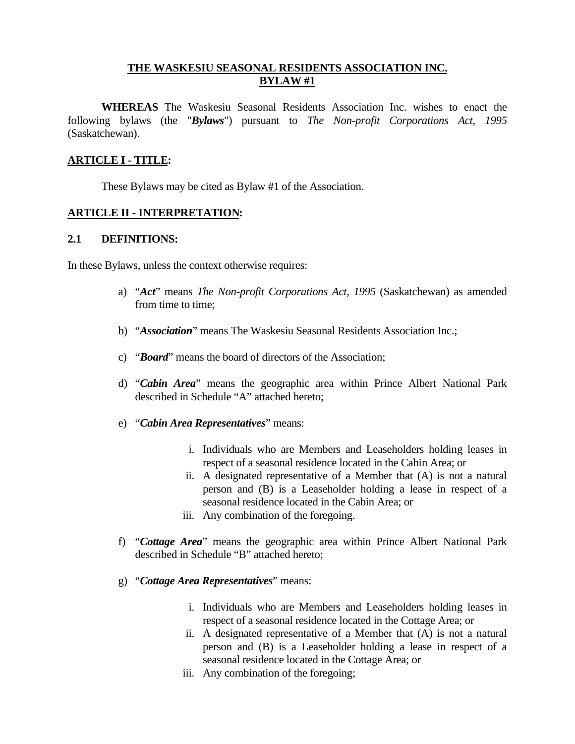#### **THE WASKESIU SEASONAL RESIDENTS ASSOCIATION INC. BYLAW #1**

 **WHEREAS** The Waskesiu Seasonal Residents Association Inc. wishes to enact the following bylaws (the "*Bylaws*") pursuant to *The Non-profit Corporations Act, 1995* (Saskatchewan).

#### **ARTICLE I - TITLE:**

These Bylaws may be cited as Bylaw #1 of the Association.

## **ARTICLE II - INTERPRETATION:**

#### **2.1 DEFINITIONS:**

In these Bylaws, unless the context otherwise requires:

- a) "*Act*" means *The Non-profit Corporations Act, 1995* (Saskatchewan) as amended from time to time;
- b) "*Association*" means The Waskesiu Seasonal Residents Association Inc.;
- c) "*Board*" means the board of directors of the Association;
- d) "*Cabin Area*" means the geographic area within Prince Albert National Park described in Schedule "A" attached hereto;
- e) "*Cabin Area Representatives*" means:
	- i. Individuals who are Members and Leaseholders holding leases in respect of a seasonal residence located in the Cabin Area; or
	- ii. A designated representative of a Member that (A) is not a natural person and (B) is a Leaseholder holding a lease in respect of a seasonal residence located in the Cabin Area; or
	- iii. Any combination of the foregoing.
- f) "*Cottage Area*" means the geographic area within Prince Albert National Park described in Schedule "B" attached hereto;
- g) "*Cottage Area Representatives*" means:
	- i. Individuals who are Members and Leaseholders holding leases in respect of a seasonal residence located in the Cottage Area; or
	- ii. A designated representative of a Member that (A) is not a natural person and (B) is a Leaseholder holding a lease in respect of a seasonal residence located in the Cottage Area; or
	- iii. Any combination of the foregoing;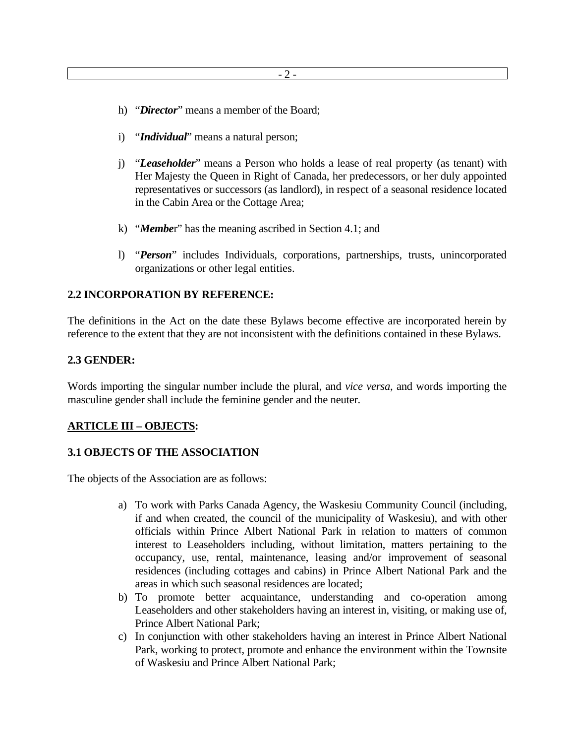- h) "*Director*" means a member of the Board;
- i) "*Individual*" means a natural person;
- j) "*Leaseholder*" means a Person who holds a lease of real property (as tenant) with Her Majesty the Queen in Right of Canada, her predecessors, or her duly appointed representatives or successors (as landlord), in respect of a seasonal residence located in the Cabin Area or the Cottage Area;
- k) "*Membe*r" has the meaning ascribed in Section 4.1; and
- l) "*Person*" includes Individuals, corporations, partnerships, trusts, unincorporated organizations or other legal entities.

#### **2.2 INCORPORATION BY REFERENCE:**

The definitions in the Act on the date these Bylaws become effective are incorporated herein by reference to the extent that they are not inconsistent with the definitions contained in these Bylaws.

#### **2.3 GENDER:**

Words importing the singular number include the plural, and *vice versa*, and words importing the masculine gender shall include the feminine gender and the neuter.

#### **ARTICLE III – OBJECTS:**

#### **3.1 OBJECTS OF THE ASSOCIATION**

The objects of the Association are as follows:

- a) To work with Parks Canada Agency, the Waskesiu Community Council (including, if and when created, the council of the municipality of Waskesiu), and with other officials within Prince Albert National Park in relation to matters of common interest to Leaseholders including, without limitation, matters pertaining to the occupancy, use, rental, maintenance, leasing and/or improvement of seasonal residences (including cottages and cabins) in Prince Albert National Park and the areas in which such seasonal residences are located;
- b) To promote better acquaintance, understanding and co-operation among Leaseholders and other stakeholders having an interest in, visiting, or making use of, Prince Albert National Park;
- c) In conjunction with other stakeholders having an interest in Prince Albert National Park, working to protect, promote and enhance the environment within the Townsite of Waskesiu and Prince Albert National Park;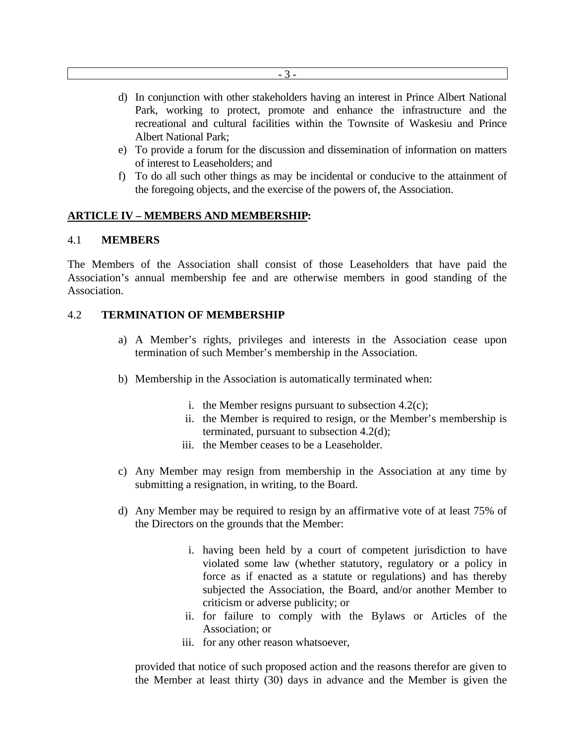- d) In conjunction with other stakeholders having an interest in Prince Albert National Park, working to protect, promote and enhance the infrastructure and the recreational and cultural facilities within the Townsite of Waskesiu and Prince Albert National Park;
- e) To provide a forum for the discussion and dissemination of information on matters of interest to Leaseholders; and
- f) To do all such other things as may be incidental or conducive to the attainment of the foregoing objects, and the exercise of the powers of, the Association.

#### **ARTICLE IV – MEMBERS AND MEMBERSHIP:**

#### 4.1 **MEMBERS**

The Members of the Association shall consist of those Leaseholders that have paid the Association's annual membership fee and are otherwise members in good standing of the Association.

#### 4.2 **TERMINATION OF MEMBERSHIP**

- a) A Member's rights, privileges and interests in the Association cease upon termination of such Member's membership in the Association.
- b) Membership in the Association is automatically terminated when:
	- i. the Member resigns pursuant to subsection  $4.2(c)$ ;
	- ii. the Member is required to resign, or the Member's membership is terminated, pursuant to subsection 4.2(d);
	- iii. the Member ceases to be a Leaseholder.
- c) Any Member may resign from membership in the Association at any time by submitting a resignation, in writing, to the Board.
- d) Any Member may be required to resign by an affirmative vote of at least 75% of the Directors on the grounds that the Member:
	- i. having been held by a court of competent jurisdiction to have violated some law (whether statutory, regulatory or a policy in force as if enacted as a statute or regulations) and has thereby subjected the Association, the Board, and/or another Member to criticism or adverse publicity; or
	- ii. for failure to comply with the Bylaws or Articles of the Association; or
	- iii. for any other reason whatsoever,

provided that notice of such proposed action and the reasons therefor are given to the Member at least thirty (30) days in advance and the Member is given the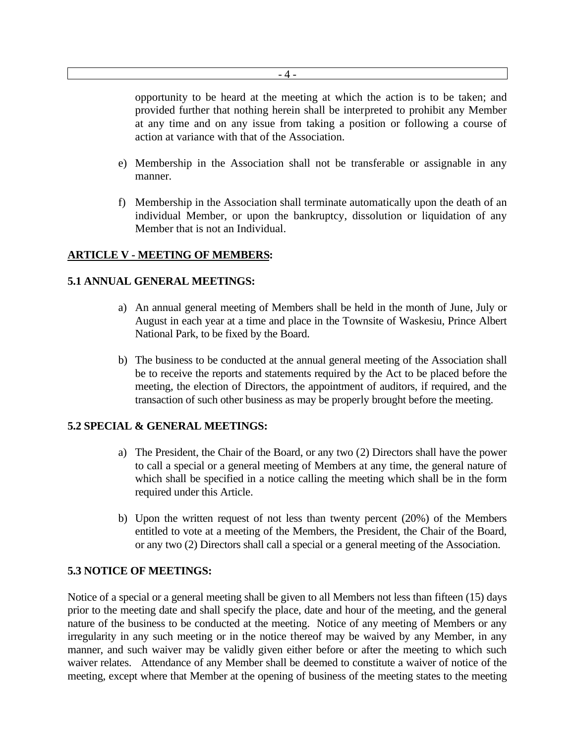- 4 -

opportunity to be heard at the meeting at which the action is to be taken; and provided further that nothing herein shall be interpreted to prohibit any Member at any time and on any issue from taking a position or following a course of action at variance with that of the Association.

- e) Membership in the Association shall not be transferable or assignable in any manner.
- f) Membership in the Association shall terminate automatically upon the death of an individual Member, or upon the bankruptcy, dissolution or liquidation of any Member that is not an Individual.

#### **ARTICLE V - MEETING OF MEMBERS:**

#### **5.1 ANNUAL GENERAL MEETINGS:**

- a) An annual general meeting of Members shall be held in the month of June, July or August in each year at a time and place in the Townsite of Waskesiu, Prince Albert National Park, to be fixed by the Board.
- b) The business to be conducted at the annual general meeting of the Association shall be to receive the reports and statements required by the Act to be placed before the meeting, the election of Directors, the appointment of auditors, if required, and the transaction of such other business as may be properly brought before the meeting.

#### **5.2 SPECIAL & GENERAL MEETINGS:**

- a) The President, the Chair of the Board, or any two (2) Directors shall have the power to call a special or a general meeting of Members at any time, the general nature of which shall be specified in a notice calling the meeting which shall be in the form required under this Article.
- b) Upon the written request of not less than twenty percent (20%) of the Members entitled to vote at a meeting of the Members, the President, the Chair of the Board, or any two (2) Directors shall call a special or a general meeting of the Association.

## **5.3 NOTICE OF MEETINGS:**

Notice of a special or a general meeting shall be given to all Members not less than fifteen (15) days prior to the meeting date and shall specify the place, date and hour of the meeting, and the general nature of the business to be conducted at the meeting. Notice of any meeting of Members or any irregularity in any such meeting or in the notice thereof may be waived by any Member, in any manner, and such waiver may be validly given either before or after the meeting to which such waiver relates. Attendance of any Member shall be deemed to constitute a waiver of notice of the meeting, except where that Member at the opening of business of the meeting states to the meeting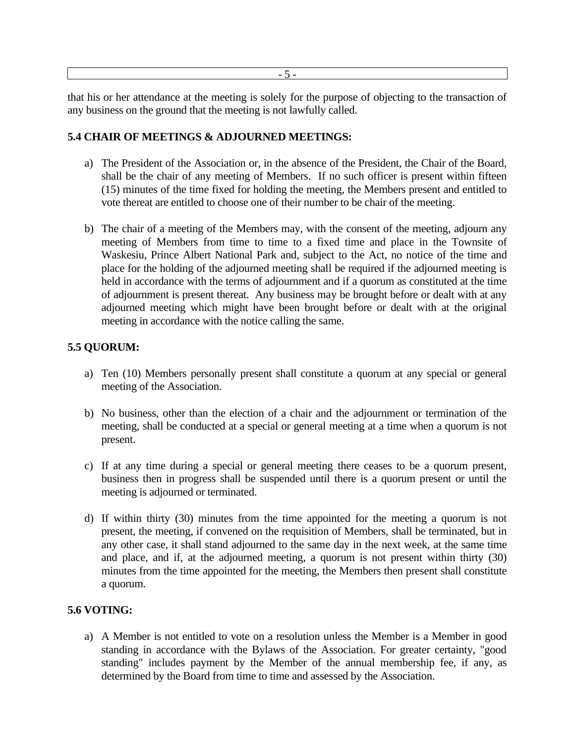- 5 -

that his or her attendance at the meeting is solely for the purpose of objecting to the transaction of any business on the ground that the meeting is not lawfully called.

#### **5.4 CHAIR OF MEETINGS & ADJOURNED MEETINGS:**

- a) The President of the Association or, in the absence of the President, the Chair of the Board, shall be the chair of any meeting of Members. If no such officer is present within fifteen (15) minutes of the time fixed for holding the meeting, the Members present and entitled to vote thereat are entitled to choose one of their number to be chair of the meeting.
- b) The chair of a meeting of the Members may, with the consent of the meeting, adjourn any meeting of Members from time to time to a fixed time and place in the Townsite of Waskesiu, Prince Albert National Park and, subject to the Act, no notice of the time and place for the holding of the adjourned meeting shall be required if the adjourned meeting is held in accordance with the terms of adjournment and if a quorum as constituted at the time of adjournment is present thereat. Any business may be brought before or dealt with at any adjourned meeting which might have been brought before or dealt with at the original meeting in accordance with the notice calling the same.

# **5.5 QUORUM:**

- a) Ten (10) Members personally present shall constitute a quorum at any special or general meeting of the Association.
- b) No business, other than the election of a chair and the adjournment or termination of the meeting, shall be conducted at a special or general meeting at a time when a quorum is not present.
- c) If at any time during a special or general meeting there ceases to be a quorum present, business then in progress shall be suspended until there is a quorum present or until the meeting is adjourned or terminated.
- d) If within thirty (30) minutes from the time appointed for the meeting a quorum is not present, the meeting, if convened on the requisition of Members, shall be terminated, but in any other case, it shall stand adjourned to the same day in the next week, at the same time and place, and if, at the adjourned meeting, a quorum is not present within thirty (30) minutes from the time appointed for the meeting, the Members then present shall constitute a quorum.

## **5.6 VOTING:**

a) A Member is not entitled to vote on a resolution unless the Member is a Member in good standing in accordance with the Bylaws of the Association. For greater certainty, "good standing" includes payment by the Member of the annual membership fee, if any, as determined by the Board from time to time and assessed by the Association.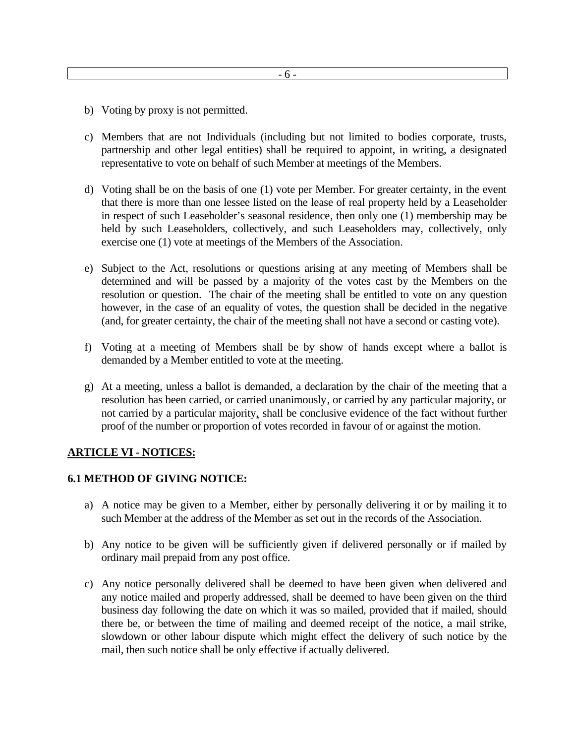- b) Voting by proxy is not permitted.
- c) Members that are not Individuals (including but not limited to bodies corporate, trusts, partnership and other legal entities) shall be required to appoint, in writing, a designated representative to vote on behalf of such Member at meetings of the Members.
- d) Voting shall be on the basis of one (1) vote per Member. For greater certainty, in the event that there is more than one lessee listed on the lease of real property held by a Leaseholder in respect of such Leaseholder's seasonal residence, then only one (1) membership may be held by such Leaseholders, collectively, and such Leaseholders may, collectively, only exercise one (1) vote at meetings of the Members of the Association.
- e) Subject to the Act, resolutions or questions arising at any meeting of Members shall be determined and will be passed by a majority of the votes cast by the Members on the resolution or question. The chair of the meeting shall be entitled to vote on any question however, in the case of an equality of votes, the question shall be decided in the negative (and, for greater certainty, the chair of the meeting shall not have a second or casting vote).
- f) Voting at a meeting of Members shall be by show of hands except where a ballot is demanded by a Member entitled to vote at the meeting.
- g) At a meeting, unless a ballot is demanded, a declaration by the chair of the meeting that a resolution has been carried, or carried unanimously, or carried by any particular majority, or not carried by a particular majority, shall be conclusive evidence of the fact without further proof of the number or proportion of votes recorded in favour of or against the motion.

## **ARTICLE VI - NOTICES:**

#### **6.1 METHOD OF GIVING NOTICE:**

- a) A notice may be given to a Member, either by personally delivering it or by mailing it to such Member at the address of the Member as set out in the records of the Association.
- b) Any notice to be given will be sufficiently given if delivered personally or if mailed by ordinary mail prepaid from any post office.
- c) Any notice personally delivered shall be deemed to have been given when delivered and any notice mailed and properly addressed, shall be deemed to have been given on the third business day following the date on which it was so mailed, provided that if mailed, should there be, or between the time of mailing and deemed receipt of the notice, a mail strike, slowdown or other labour dispute which might effect the delivery of such notice by the mail, then such notice shall be only effective if actually delivered.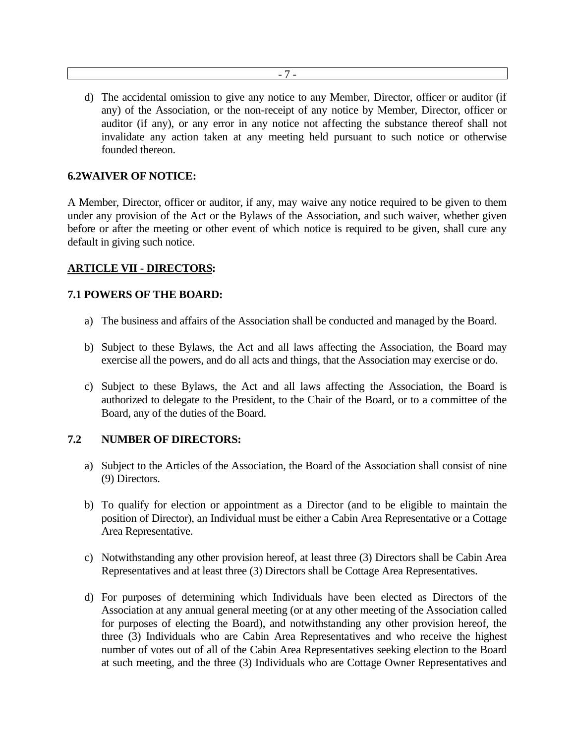d) The accidental omission to give any notice to any Member, Director, officer or auditor (if any) of the Association, or the non-receipt of any notice by Member, Director, officer or auditor (if any), or any error in any notice not affecting the substance thereof shall not invalidate any action taken at any meeting held pursuant to such notice or otherwise founded thereon.

#### **6.2WAIVER OF NOTICE:**

A Member, Director, officer or auditor, if any, may waive any notice required to be given to them under any provision of the Act or the Bylaws of the Association, and such waiver, whether given before or after the meeting or other event of which notice is required to be given, shall cure any default in giving such notice.

#### **ARTICLE VII - DIRECTORS:**

#### **7.1 POWERS OF THE BOARD:**

- a) The business and affairs of the Association shall be conducted and managed by the Board.
- b) Subject to these Bylaws, the Act and all laws affecting the Association, the Board may exercise all the powers, and do all acts and things, that the Association may exercise or do.
- c) Subject to these Bylaws, the Act and all laws affecting the Association, the Board is authorized to delegate to the President, to the Chair of the Board, or to a committee of the Board, any of the duties of the Board.

#### **7.2 NUMBER OF DIRECTORS:**

- a) Subject to the Articles of the Association, the Board of the Association shall consist of nine (9) Directors.
- b) To qualify for election or appointment as a Director (and to be eligible to maintain the position of Director), an Individual must be either a Cabin Area Representative or a Cottage Area Representative.
- c) Notwithstanding any other provision hereof, at least three (3) Directors shall be Cabin Area Representatives and at least three (3) Directors shall be Cottage Area Representatives.
- d) For purposes of determining which Individuals have been elected as Directors of the Association at any annual general meeting (or at any other meeting of the Association called for purposes of electing the Board), and notwithstanding any other provision hereof, the three (3) Individuals who are Cabin Area Representatives and who receive the highest number of votes out of all of the Cabin Area Representatives seeking election to the Board at such meeting, and the three (3) Individuals who are Cottage Owner Representatives and

- 7 -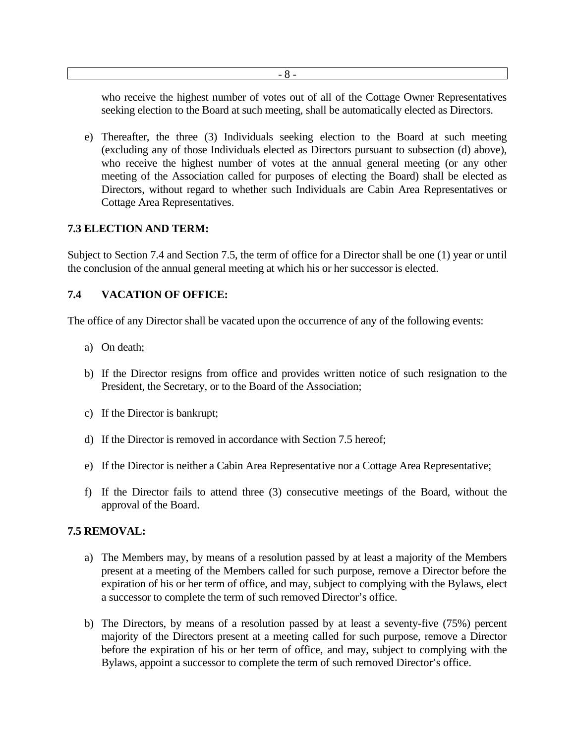- 8 -

who receive the highest number of votes out of all of the Cottage Owner Representatives seeking election to the Board at such meeting, shall be automatically elected as Directors.

e) Thereafter, the three (3) Individuals seeking election to the Board at such meeting (excluding any of those Individuals elected as Directors pursuant to subsection (d) above), who receive the highest number of votes at the annual general meeting (or any other meeting of the Association called for purposes of electing the Board) shall be elected as Directors, without regard to whether such Individuals are Cabin Area Representatives or Cottage Area Representatives.

## **7.3 ELECTION AND TERM:**

Subject to Section 7.4 and Section 7.5, the term of office for a Director shall be one (1) year or until the conclusion of the annual general meeting at which his or her successor is elected.

# **7.4 VACATION OF OFFICE:**

The office of any Director shall be vacated upon the occurrence of any of the following events:

- a) On death;
- b) If the Director resigns from office and provides written notice of such resignation to the President, the Secretary, or to the Board of the Association;
- c) If the Director is bankrupt;
- d) If the Director is removed in accordance with Section 7.5 hereof;
- e) If the Director is neither a Cabin Area Representative nor a Cottage Area Representative;
- f) If the Director fails to attend three (3) consecutive meetings of the Board, without the approval of the Board.

## **7.5 REMOVAL:**

- a) The Members may, by means of a resolution passed by at least a majority of the Members present at a meeting of the Members called for such purpose, remove a Director before the expiration of his or her term of office, and may, subject to complying with the Bylaws, elect a successor to complete the term of such removed Director's office.
- b) The Directors, by means of a resolution passed by at least a seventy-five (75%) percent majority of the Directors present at a meeting called for such purpose, remove a Director before the expiration of his or her term of office, and may, subject to complying with the Bylaws, appoint a successor to complete the term of such removed Director's office.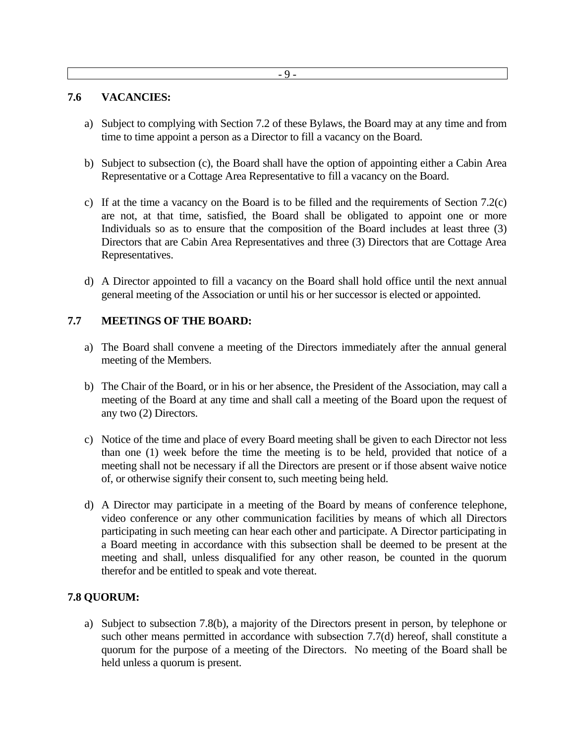#### **7.6 VACANCIES:**

- a) Subject to complying with Section 7.2 of these Bylaws, the Board may at any time and from time to time appoint a person as a Director to fill a vacancy on the Board.
- b) Subject to subsection (c), the Board shall have the option of appointing either a Cabin Area Representative or a Cottage Area Representative to fill a vacancy on the Board.
- c) If at the time a vacancy on the Board is to be filled and the requirements of Section 7.2(c) are not, at that time, satisfied, the Board shall be obligated to appoint one or more Individuals so as to ensure that the composition of the Board includes at least three (3) Directors that are Cabin Area Representatives and three (3) Directors that are Cottage Area Representatives.
- d) A Director appointed to fill a vacancy on the Board shall hold office until the next annual general meeting of the Association or until his or her successor is elected or appointed.

## **7.7 MEETINGS OF THE BOARD:**

- a) The Board shall convene a meeting of the Directors immediately after the annual general meeting of the Members.
- b) The Chair of the Board, or in his or her absence, the President of the Association, may call a meeting of the Board at any time and shall call a meeting of the Board upon the request of any two (2) Directors.
- c) Notice of the time and place of every Board meeting shall be given to each Director not less than one (1) week before the time the meeting is to be held, provided that notice of a meeting shall not be necessary if all the Directors are present or if those absent waive notice of, or otherwise signify their consent to, such meeting being held.
- d) A Director may participate in a meeting of the Board by means of conference telephone, video conference or any other communication facilities by means of which all Directors participating in such meeting can hear each other and participate. A Director participating in a Board meeting in accordance with this subsection shall be deemed to be present at the meeting and shall, unless disqualified for any other reason, be counted in the quorum therefor and be entitled to speak and vote thereat.

## **7.8 QUORUM:**

a) Subject to subsection 7.8(b), a majority of the Directors present in person, by telephone or such other means permitted in accordance with subsection 7.7(d) hereof, shall constitute a quorum for the purpose of a meeting of the Directors. No meeting of the Board shall be held unless a quorum is present.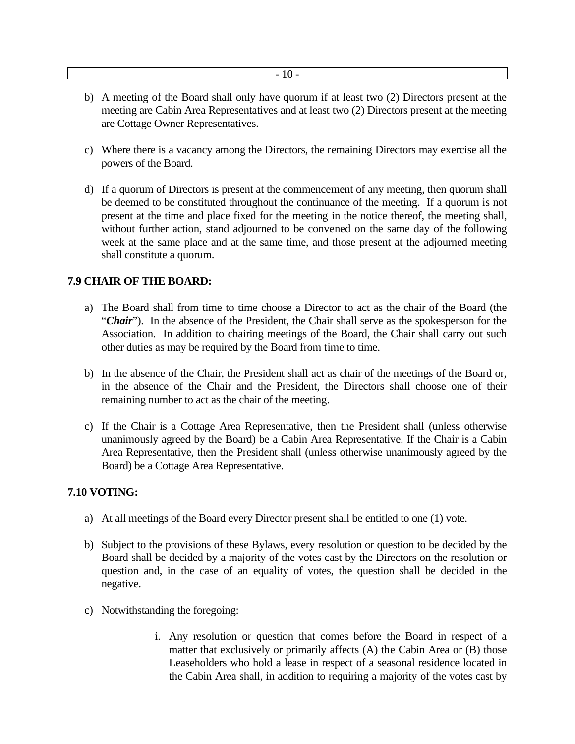- b) A meeting of the Board shall only have quorum if at least two (2) Directors present at the meeting are Cabin Area Representatives and at least two (2) Directors present at the meeting are Cottage Owner Representatives.
- c) Where there is a vacancy among the Directors, the remaining Directors may exercise all the powers of the Board.
- d) If a quorum of Directors is present at the commencement of any meeting, then quorum shall be deemed to be constituted throughout the continuance of the meeting. If a quorum is not present at the time and place fixed for the meeting in the notice thereof, the meeting shall, without further action, stand adjourned to be convened on the same day of the following week at the same place and at the same time, and those present at the adjourned meeting shall constitute a quorum.

## **7.9 CHAIR OF THE BOARD:**

- a) The Board shall from time to time choose a Director to act as the chair of the Board (the "**Chair**"). In the absence of the President, the Chair shall serve as the spokesperson for the Association. In addition to chairing meetings of the Board, the Chair shall carry out such other duties as may be required by the Board from time to time.
- b) In the absence of the Chair, the President shall act as chair of the meetings of the Board or, in the absence of the Chair and the President, the Directors shall choose one of their remaining number to act as the chair of the meeting.
- c) If the Chair is a Cottage Area Representative, then the President shall (unless otherwise unanimously agreed by the Board) be a Cabin Area Representative. If the Chair is a Cabin Area Representative, then the President shall (unless otherwise unanimously agreed by the Board) be a Cottage Area Representative.

## **7.10 VOTING:**

- a) At all meetings of the Board every Director present shall be entitled to one (1) vote.
- b) Subject to the provisions of these Bylaws, every resolution or question to be decided by the Board shall be decided by a majority of the votes cast by the Directors on the resolution or question and, in the case of an equality of votes, the question shall be decided in the negative.
- c) Notwithstanding the foregoing:
	- i. Any resolution or question that comes before the Board in respect of a matter that exclusively or primarily affects (A) the Cabin Area or (B) those Leaseholders who hold a lease in respect of a seasonal residence located in the Cabin Area shall, in addition to requiring a majority of the votes cast by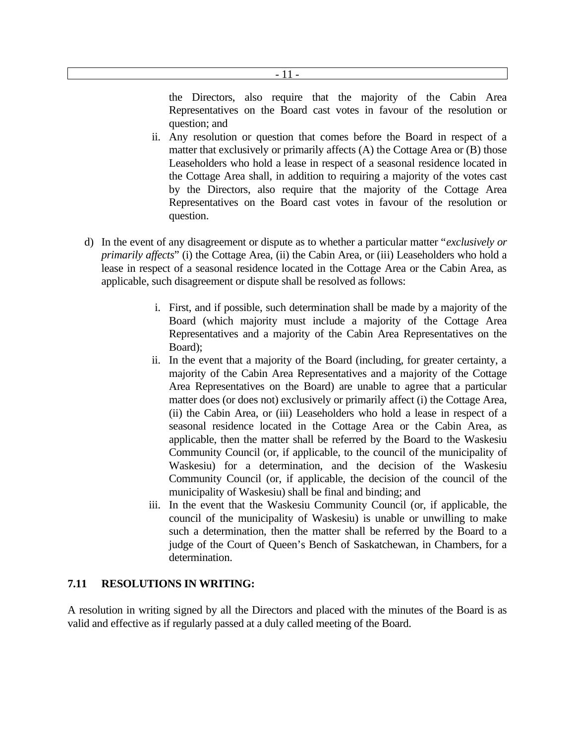- Representatives on the Board cast votes in favour of the resolution or question; and
- ii. Any resolution or question that comes before the Board in respect of a matter that exclusively or primarily affects (A) the Cottage Area or (B) those Leaseholders who hold a lease in respect of a seasonal residence located in the Cottage Area shall, in addition to requiring a majority of the votes cast by the Directors, also require that the majority of the Cottage Area Representatives on the Board cast votes in favour of the resolution or question.
- d) In the event of any disagreement or dispute as to whether a particular matter "*exclusively or primarily affects*" (i) the Cottage Area, (ii) the Cabin Area, or (iii) Leaseholders who hold a lease in respect of a seasonal residence located in the Cottage Area or the Cabin Area, as applicable, such disagreement or dispute shall be resolved as follows:

- 11 -

- i. First, and if possible, such determination shall be made by a majority of the Board (which majority must include a majority of the Cottage Area Representatives and a majority of the Cabin Area Representatives on the Board);
- ii. In the event that a majority of the Board (including, for greater certainty, a majority of the Cabin Area Representatives and a majority of the Cottage Area Representatives on the Board) are unable to agree that a particular matter does (or does not) exclusively or primarily affect (i) the Cottage Area, (ii) the Cabin Area, or (iii) Leaseholders who hold a lease in respect of a seasonal residence located in the Cottage Area or the Cabin Area, as applicable, then the matter shall be referred by the Board to the Waskesiu Community Council (or, if applicable, to the council of the municipality of Waskesiu) for a determination, and the decision of the Waskesiu Community Council (or, if applicable, the decision of the council of the municipality of Waskesiu) shall be final and binding; and
- iii. In the event that the Waskesiu Community Council (or, if applicable, the council of the municipality of Waskesiu) is unable or unwilling to make such a determination, then the matter shall be referred by the Board to a judge of the Court of Queen's Bench of Saskatchewan, in Chambers, for a determination.

# **7.11 RESOLUTIONS IN WRITING:**

A resolution in writing signed by all the Directors and placed with the minutes of the Board is as valid and effective as if regularly passed at a duly called meeting of the Board.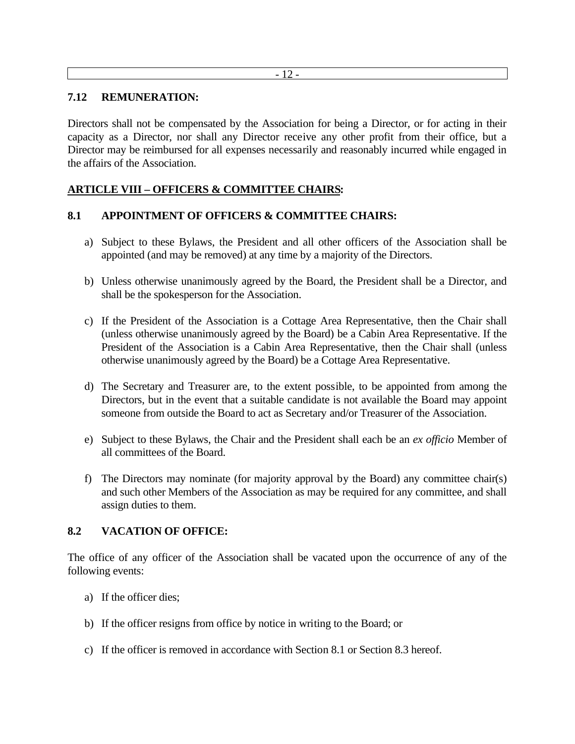#### - 12 -

#### **7.12 REMUNERATION:**

Directors shall not be compensated by the Association for being a Director, or for acting in their capacity as a Director, nor shall any Director receive any other profit from their office, but a Director may be reimbursed for all expenses necessarily and reasonably incurred while engaged in the affairs of the Association.

# **ARTICLE VIII – OFFICERS & COMMITTEE CHAIRS:**

## **8.1 APPOINTMENT OF OFFICERS & COMMITTEE CHAIRS:**

- a) Subject to these Bylaws, the President and all other officers of the Association shall be appointed (and may be removed) at any time by a majority of the Directors.
- b) Unless otherwise unanimously agreed by the Board, the President shall be a Director, and shall be the spokesperson for the Association.
- c) If the President of the Association is a Cottage Area Representative, then the Chair shall (unless otherwise unanimously agreed by the Board) be a Cabin Area Representative. If the President of the Association is a Cabin Area Representative, then the Chair shall (unless otherwise unanimously agreed by the Board) be a Cottage Area Representative.
- d) The Secretary and Treasurer are, to the extent possible, to be appointed from among the Directors, but in the event that a suitable candidate is not available the Board may appoint someone from outside the Board to act as Secretary and/or Treasurer of the Association.
- e) Subject to these Bylaws, the Chair and the President shall each be an *ex officio* Member of all committees of the Board.
- f) The Directors may nominate (for majority approval by the Board) any committee chair(s) and such other Members of the Association as may be required for any committee, and shall assign duties to them.

## **8.2 VACATION OF OFFICE:**

The office of any officer of the Association shall be vacated upon the occurrence of any of the following events:

- a) If the officer dies;
- b) If the officer resigns from office by notice in writing to the Board; or
- c) If the officer is removed in accordance with Section 8.1 or Section 8.3 hereof.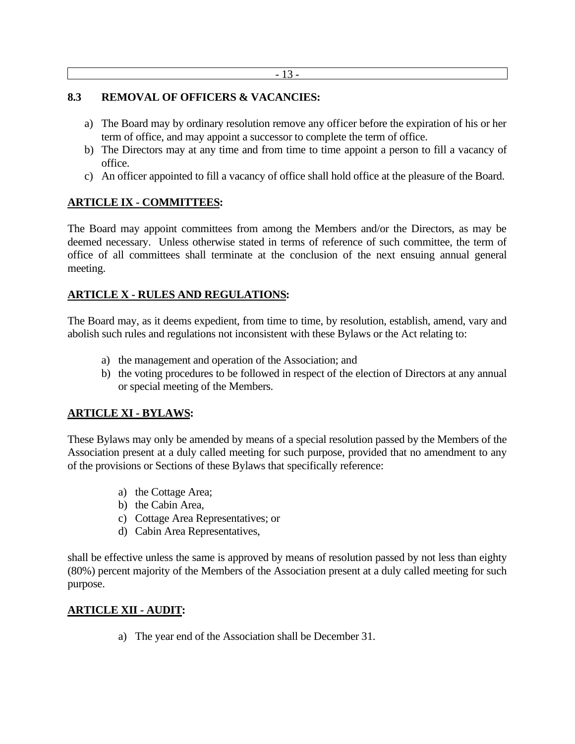#### **8.3 REMOVAL OF OFFICERS & VACANCIES:**

- a) The Board may by ordinary resolution remove any officer before the expiration of his or her term of office, and may appoint a successor to complete the term of office.
- b) The Directors may at any time and from time to time appoint a person to fill a vacancy of office.
- c) An officer appointed to fill a vacancy of office shall hold office at the pleasure of the Board.

## **ARTICLE IX - COMMITTEES:**

The Board may appoint committees from among the Members and/or the Directors, as may be deemed necessary. Unless otherwise stated in terms of reference of such committee, the term of office of all committees shall terminate at the conclusion of the next ensuing annual general meeting.

# **ARTICLE X - RULES AND REGULATIONS:**

The Board may, as it deems expedient, from time to time, by resolution, establish, amend, vary and abolish such rules and regulations not inconsistent with these Bylaws or the Act relating to:

- a) the management and operation of the Association; and
- b) the voting procedures to be followed in respect of the election of Directors at any annual or special meeting of the Members.

## **ARTICLE XI - BYLAWS:**

These Bylaws may only be amended by means of a special resolution passed by the Members of the Association present at a duly called meeting for such purpose, provided that no amendment to any of the provisions or Sections of these Bylaws that specifically reference:

- a) the Cottage Area;
- b) the Cabin Area,
- c) Cottage Area Representatives; or
- d) Cabin Area Representatives,

shall be effective unless the same is approved by means of resolution passed by not less than eighty (80%) percent majority of the Members of the Association present at a duly called meeting for such purpose.

## **ARTICLE XII - AUDIT:**

a) The year end of the Association shall be December 31.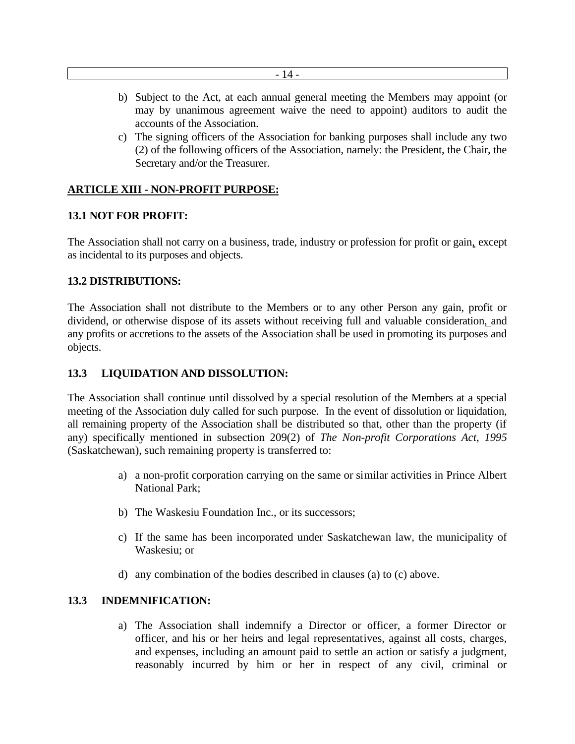- 14 -

- b) Subject to the Act, at each annual general meeting the Members may appoint (or may by unanimous agreement waive the need to appoint) auditors to audit the accounts of the Association.
- c) The signing officers of the Association for banking purposes shall include any two (2) of the following officers of the Association, namely: the President, the Chair, the Secretary and/or the Treasurer.

# **ARTICLE XIII - NON-PROFIT PURPOSE:**

## **13.1 NOT FOR PROFIT:**

The Association shall not carry on a business, trade, industry or profession for profit or gain, except as incidental to its purposes and objects.

## **13.2 DISTRIBUTIONS:**

The Association shall not distribute to the Members or to any other Person any gain, profit or dividend, or otherwise dispose of its assets without receiving full and valuable consideration, and any profits or accretions to the assets of the Association shall be used in promoting its purposes and objects.

## **13.3 LIQUIDATION AND DISSOLUTION:**

The Association shall continue until dissolved by a special resolution of the Members at a special meeting of the Association duly called for such purpose. In the event of dissolution or liquidation, all remaining property of the Association shall be distributed so that, other than the property (if any) specifically mentioned in subsection 209(2) of *The Non-profit Corporations Act, 1995* (Saskatchewan), such remaining property is transferred to:

- a) a non-profit corporation carrying on the same or similar activities in Prince Albert National Park;
- b) The Waskesiu Foundation Inc., or its successors;
- c) If the same has been incorporated under Saskatchewan law, the municipality of Waskesiu; or
- d) any combination of the bodies described in clauses (a) to (c) above.

## **13.3 INDEMNIFICATION:**

a) The Association shall indemnify a Director or officer, a former Director or officer, and his or her heirs and legal representatives, against all costs, charges, and expenses, including an amount paid to settle an action or satisfy a judgment, reasonably incurred by him or her in respect of any civil, criminal or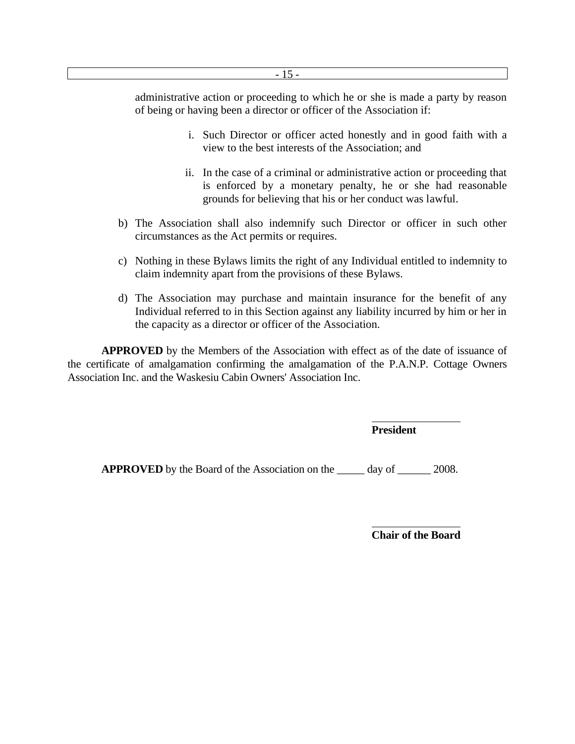administrative action or proceeding to which he or she is made a party by reason of being or having been a director or officer of the Association if:

- i. Such Director or officer acted honestly and in good faith with a view to the best interests of the Association; and
- ii. In the case of a criminal or administrative action or proceeding that is enforced by a monetary penalty, he or she had reasonable grounds for believing that his or her conduct was lawful.
- b) The Association shall also indemnify such Director or officer in such other circumstances as the Act permits or requires.
- c) Nothing in these Bylaws limits the right of any Individual entitled to indemnity to claim indemnity apart from the provisions of these Bylaws.
- d) The Association may purchase and maintain insurance for the benefit of any Individual referred to in this Section against any liability incurred by him or her in the capacity as a director or officer of the Association.

 **APPROVED** by the Members of the Association with effect as of the date of issuance of the certificate of amalgamation confirming the amalgamation of the P.A.N.P. Cottage Owners Association Inc. and the Waskesiu Cabin Owners' Association Inc.

**President** 

**APPROVED** by the Board of the Association on the \_\_\_\_\_ day of \_\_\_\_\_\_ 2008.

**Chair of the Board**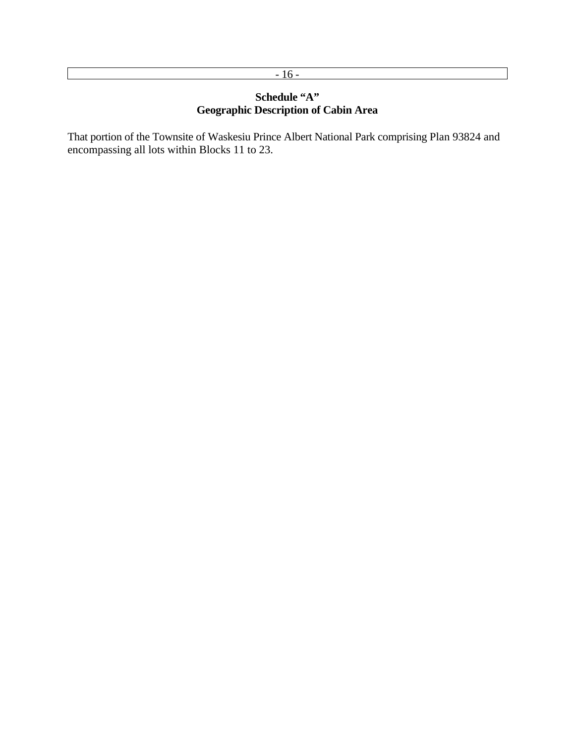# $-16-$

# **Schedule "A" Geographic Description of Cabin Area**

That portion of the Townsite of Waskesiu Prince Albert National Park comprising Plan 93824 and encompassing all lots within Blocks 11 to 23.